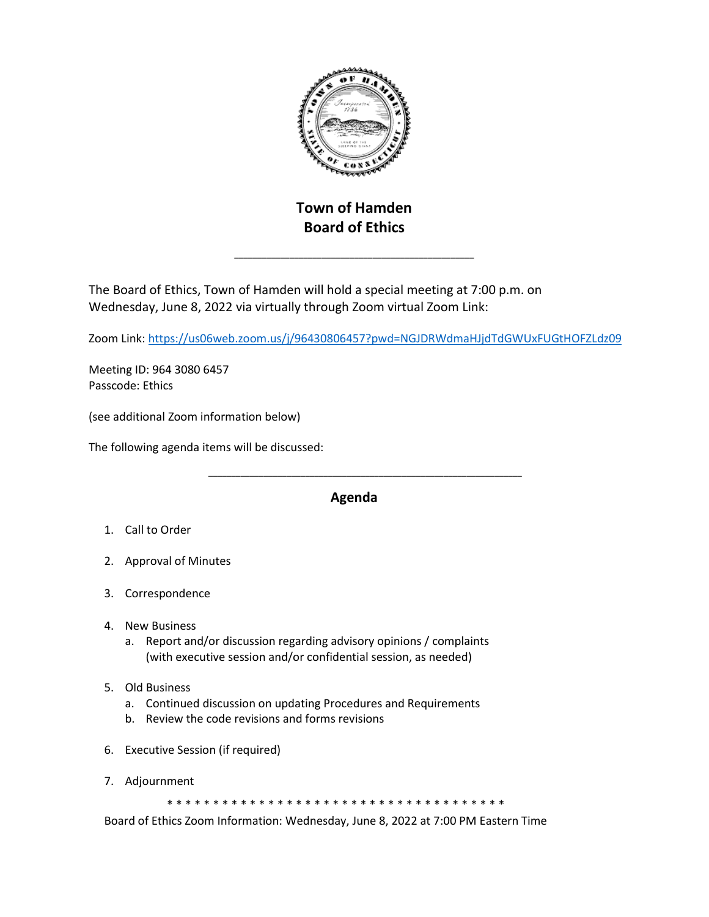

## **Town of Hamden Board of Ethics**

\_\_\_\_\_\_\_\_\_\_\_\_\_\_\_\_\_\_\_\_\_\_\_\_\_\_\_\_\_\_\_\_\_\_\_\_\_\_\_\_\_\_\_\_\_\_\_\_\_\_\_\_

The Board of Ethics, Town of Hamden will hold a special meeting at 7:00 p.m. on Wednesday, June 8, 2022 via virtually through Zoom virtual Zoom Link:

Zoom Link:<https://us06web.zoom.us/j/96430806457?pwd=NGJDRWdmaHJjdTdGWUxFUGtHOFZLdz09>

Meeting ID: 964 3080 6457 Passcode: Ethics

(see additional Zoom information below)

The following agenda items will be discussed:

## **Agenda**

- 1. Call to Order
- 2. Approval of Minutes
- 3. Correspondence
- 4. New Business
	- a. Report and/or discussion regarding advisory opinions / complaints (with executive session and/or confidential session, as needed)

\_\_\_\_\_\_\_\_\_\_\_\_\_\_\_\_\_\_\_\_\_\_\_\_\_\_\_\_\_\_\_\_\_\_\_\_\_\_\_\_\_\_\_\_\_\_\_\_\_\_\_\_\_\_\_\_\_\_\_\_\_\_\_\_\_\_\_\_

- 5. Old Business
	- a. Continued discussion on updating Procedures and Requirements
	- b. Review the code revisions and forms revisions
- 6. Executive Session (if required)
- 7. Adjournment

\* \* \* \* \* \* \* \* \* \* \* \* \* \* \* \* \* \* \* \* \* \* \* \* \* \* \* \* \* \* \* \* \* \* \* \* \*

Board of Ethics Zoom Information: Wednesday, June 8, 2022 at 7:00 PM Eastern Time